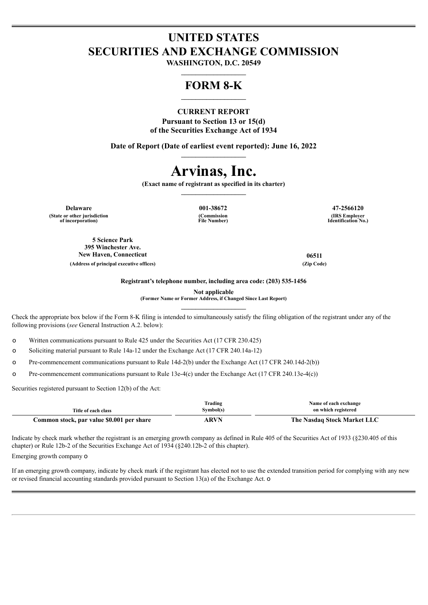## **UNITED STATES SECURITIES AND EXCHANGE COMMISSION**

**WASHINGTON, D.C. 20549**  $\_$ 

### **FORM 8-K**  $\_$

### **CURRENT REPORT**

**Pursuant to Section 13 or 15(d) of the Securities Exchange Act of 1934**

**Date of Report (Date of earliest event reported): June 16, 2022**  $\_$ 

# **Arvinas, Inc.**

**(Exact name of registrant as specified in its charter)**  $\_$ 

**Delaware 001-38672 47-2566120 (State or other jurisdiction of incorporation)**

**(Commission File Number)**

**(IRS Employer Identification No.)**

**5 Science Park 395 Winchester Ave. New Haven, Connecticut 06511 (Address of principal executive offices) (Zip Code)**

**Registrant's telephone number, including area code: (203) 535-1456**

**Not applicable**

**(Former Name or Former Address, if Changed Since Last Report)**  $\_$ 

Check the appropriate box below if the Form 8-K filing is intended to simultaneously satisfy the filing obligation of the registrant under any of the following provisions (*see* General Instruction A.2. below):

o Written communications pursuant to Rule 425 under the Securities Act (17 CFR 230.425)

o Soliciting material pursuant to Rule 14a-12 under the Exchange Act (17 CFR 240.14a-12)

o Pre-commencement communications pursuant to Rule 14d-2(b) under the Exchange Act (17 CFR 240.14d-2(b))

o Pre-commencement communications pursuant to Rule 13e-4(c) under the Exchange Act (17 CFR 240.13e-4(c))

Securities registered pursuant to Section 12(b) of the Act:

| Title of each class                       | Trading<br>Symbol(s) | Name of each exchange<br>on which registered |
|-------------------------------------------|----------------------|----------------------------------------------|
| Common stock, par value \$0.001 per share | ARVN                 | The Nasdaq Stock Market LLC                  |

Indicate by check mark whether the registrant is an emerging growth company as defined in Rule 405 of the Securities Act of 1933 (§230.405 of this chapter) or Rule 12b-2 of the Securities Exchange Act of 1934 (§240.12b-2 of this chapter).

Emerging growth company o

If an emerging growth company, indicate by check mark if the registrant has elected not to use the extended transition period for complying with any new or revised financial accounting standards provided pursuant to Section 13(a) of the Exchange Act. o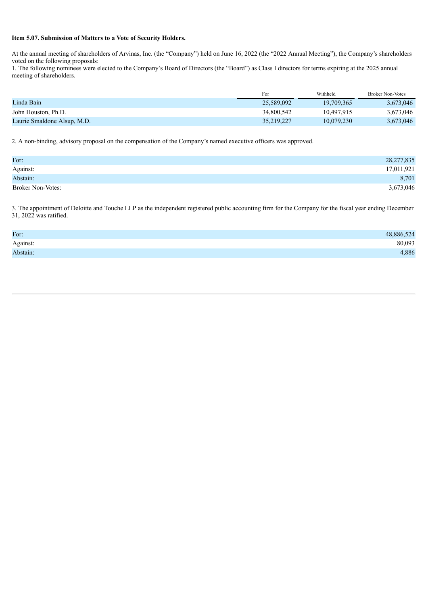### **Item 5.07. Submission of Matters to a Vote of Security Holders.**

At the annual meeting of shareholders of Arvinas, Inc. (the "Company") held on June 16, 2022 (the "2022 Annual Meeting"), the Company's shareholders voted on the following proposals:

1. The following nominees were elected to the Company's Board of Directors (the "Board") as Class I directors for terms expiring at the 2025 annual meeting of shareholders.

|                             | For        | Withheld   | <b>Broker Non-Votes</b> |
|-----------------------------|------------|------------|-------------------------|
| Linda Bain                  | 25,589,092 | 19,709,365 | 3,673,046               |
| John Houston, Ph.D.         | 34,800,542 | 10.497.915 | 3,673,046               |
| Laurie Smaldone Alsup, M.D. | 35,219,227 | 10.079.230 | 3,673,046               |

2. A non-binding, advisory proposal on the compensation of the Company's named executive officers was approved.

| For:                     | 28,277,835 |
|--------------------------|------------|
| Against:                 | 17,011,921 |
| Abstain:                 | 8,701      |
| <b>Broker Non-Votes:</b> | 3,673,046  |

3. The appointment of Deloitte and Touche LLP as the independent registered public accounting firm for the Company for the fiscal year ending December 31, 2022 was ratified.

| For:     | 48,886,524 |
|----------|------------|
| Against: | 80,093     |
| Abstain: | 4,886      |